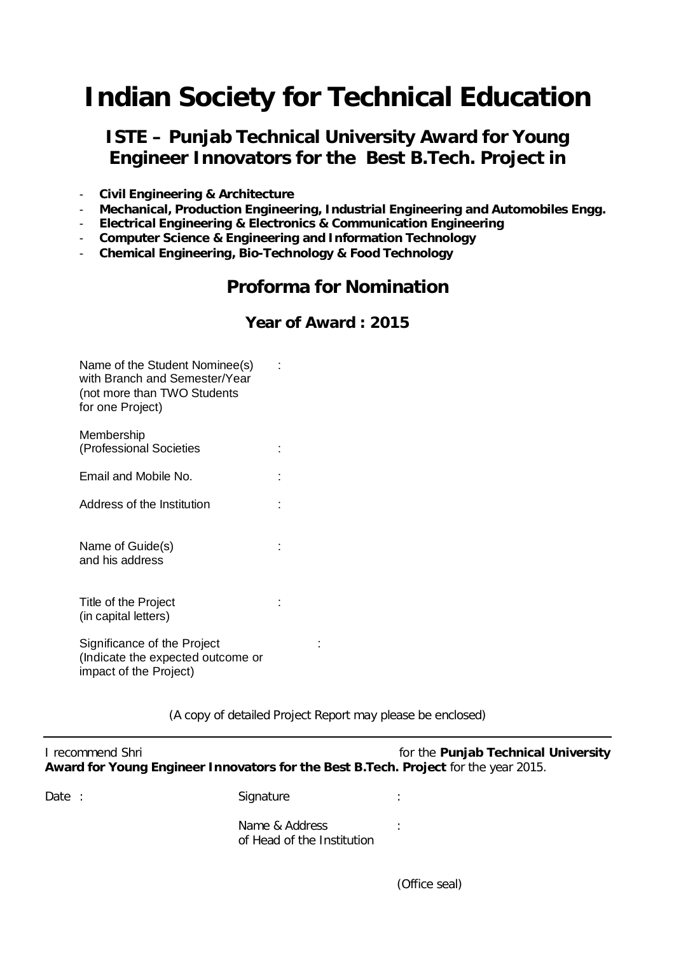# **Indian Society for Technical Education**

## **ISTE – Punjab Technical University Award for Young Engineer Innovators for the Best B.Tech. Project in**

- **Civil Engineering & Architecture**
- **Mechanical, Production Engineering, Industrial Engineering and Automobiles Engg.**
- **Electrical Engineering & Electronics & Communication Engineering**
- **Computer Science & Engineering and Information Technology**
- **Chemical Engineering, Bio-Technology & Food Technology**

# **Proforma for Nomination**

#### **Year of Award : 2015**

| Name of the Student Nominee(s) |  |
|--------------------------------|--|
| with Branch and Semester/Year  |  |
| (not more than TWO Students    |  |
| for one Project)               |  |

| Membership              |  |
|-------------------------|--|
| (Professional Societies |  |

Email and Mobile No. **:**  $\qquad \qquad$  :

Address of the Institution :

Name of Guide(s)  $\qquad \qquad$ : and his address

Title of the Project : the state of the Project in the state of the Project in the state of the state of the state of the state of the state of the state of the state of the state of the state of the state of the state of (in capital letters)

Significance of the Project : (Indicate the expected outcome or impact of the Project)

(A copy of detailed Project Report may please be enclosed)

| I recommend Shri                                                                    | for the Punjab Technical University |
|-------------------------------------------------------------------------------------|-------------------------------------|
| Award for Young Engineer Innovators for the Best B.Tech. Project for the year 2015. |                                     |

Signature : the state of the state of the state of the state of the state of the state of the state of the state of the state of the state of the state of the state of the state of the state of the state of the state of th Name & Address in the state of the state of the state of the state of the state of the state of the state of the state of the state of the state of the state of the state of the state of the state of the state of the state

of Head of the Institution